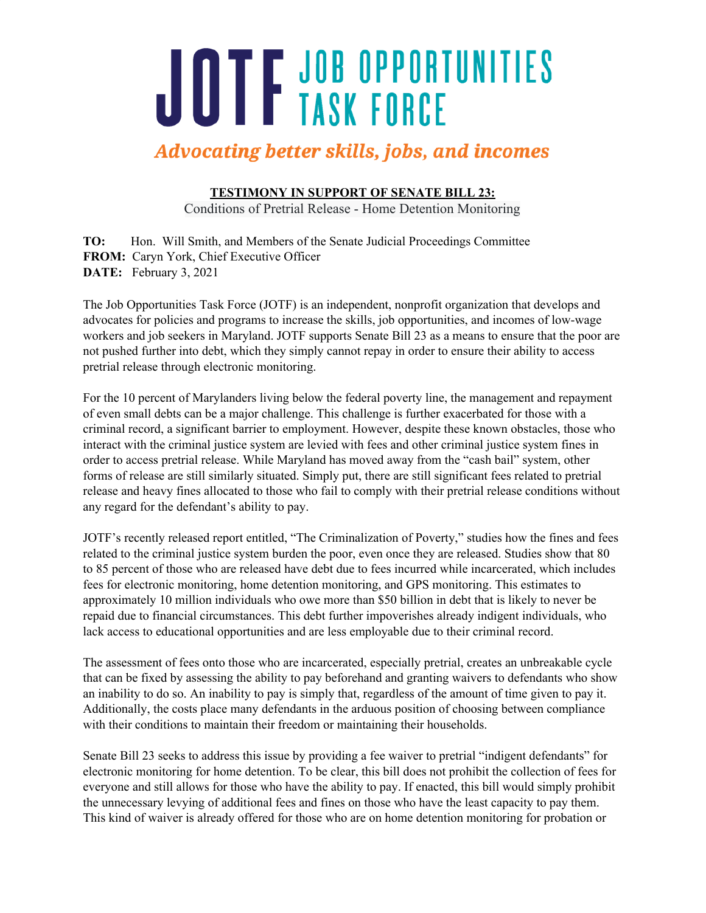## JOTF JOB OPPORTUNITIES

## **Advocating better skills, jobs, and incomes**

**TESTIMONY IN SUPPORT OF SENATE BILL 23:**

Conditions of Pretrial Release - Home Detention Monitoring

**TO:** Hon. Will Smith, and Members of the Senate Judicial Proceedings Committee **FROM:** Caryn York, Chief Executive Officer **DATE:** February 3, 2021

The Job Opportunities Task Force (JOTF) is an independent, nonprofit organization that develops and advocates for policies and programs to increase the skills, job opportunities, and incomes of low-wage workers and job seekers in Maryland. JOTF supports Senate Bill 23 as a means to ensure that the poor are not pushed further into debt, which they simply cannot repay in order to ensure their ability to access pretrial release through electronic monitoring.

For the 10 percent of Marylanders living below the federal poverty line, the management and repayment of even small debts can be a major challenge. This challenge is further exacerbated for those with a criminal record, a significant barrier to employment. However, despite these known obstacles, those who interact with the criminal justice system are levied with fees and other criminal justice system fines in order to access pretrial release. While Maryland has moved away from the "cash bail" system, other forms of release are still similarly situated. Simply put, there are still significant fees related to pretrial release and heavy fines allocated to those who fail to comply with their pretrial release conditions without any regard for the defendant's ability to pay.

JOTF's recently released report entitled, "The Criminalization of Poverty," studies how the fines and fees related to the criminal justice system burden the poor, even once they are released. Studies show that 80 to 85 percent of those who are released have debt due to fees incurred while incarcerated, which includes fees for electronic monitoring, home detention monitoring, and GPS monitoring. This estimates to approximately 10 million individuals who owe more than \$50 billion in debt that is likely to never be repaid due to financial circumstances. This debt further impoverishes already indigent individuals, who lack access to educational opportunities and are less employable due to their criminal record.

The assessment of fees onto those who are incarcerated, especially pretrial, creates an unbreakable cycle that can be fixed by assessing the ability to pay beforehand and granting waivers to defendants who show an inability to do so. An inability to pay is simply that, regardless of the amount of time given to pay it. Additionally, the costs place many defendants in the arduous position of choosing between compliance with their conditions to maintain their freedom or maintaining their households.

Senate Bill 23 seeks to address this issue by providing a fee waiver to pretrial "indigent defendants" for electronic monitoring for home detention. To be clear, this bill does not prohibit the collection of fees for everyone and still allows for those who have the ability to pay. If enacted, this bill would simply prohibit the unnecessary levying of additional fees and fines on those who have the least capacity to pay them. This kind of waiver is already offered for those who are on home detention monitoring for probation or